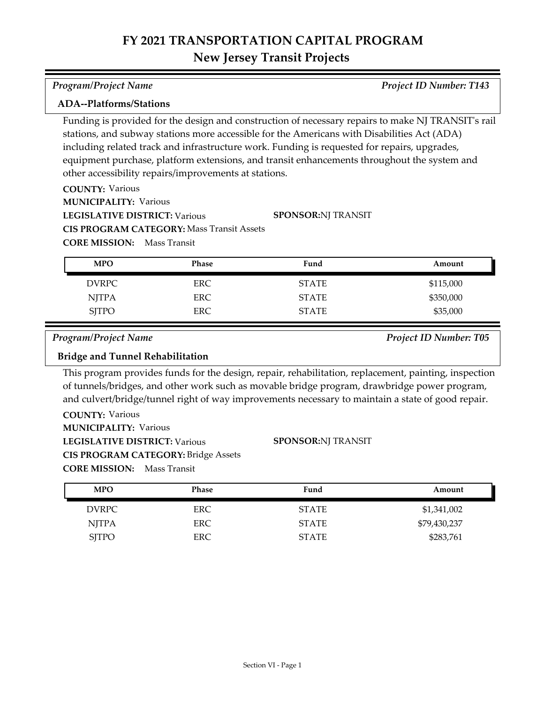| <b>Program/Project Name</b> | <b>Project ID Number: T143</b> |
|-----------------------------|--------------------------------|

## **ADA--Platforms/Stations**

Funding is provided for the design and construction of necessary repairs to make NJ TRANSIT's rail stations, and subway stations more accessible for the Americans with Disabilities Act (ADA) including related track and infrastructure work. Funding is requested for repairs, upgrades, equipment purchase, platform extensions, and transit enhancements throughout the system and other accessibility repairs/improvements at stations.

**COUNTY:** Various **LEGISLATIVE DISTRICT:** Various **MUNICIPALITY: Various CORE MISSION:** Mass Transit **CIS PROGRAM CATEGORY:** Mass Transit Assets **SPONSOR:** NJ TRANSIT

| <b>MPO</b>   | Phase      | Fund         | Amount    |
|--------------|------------|--------------|-----------|
| <b>DVRPC</b> | <b>ERC</b> | <b>STATE</b> | \$115,000 |
| NJTPA        | ERC.       | <b>STATE</b> | \$350,000 |
| <b>SJTPO</b> | <b>ERC</b> | <b>STATE</b> | \$35,000  |

*Program/Project Name Project ID Number: T05*

## **Bridge and Tunnel Rehabilitation**

This program provides funds for the design, repair, rehabilitation, replacement, painting, inspection of tunnels/bridges, and other work such as movable bridge program, drawbridge power program, and culvert/bridge/tunnel right of way improvements necessary to maintain a state of good repair.

**COUNTY:** Various **LEGISLATIVE DISTRICT:** Various **MUNICIPALITY: Various CORE MISSION:** Mass Transit **CIS PROGRAM CATEGORY:** Bridge Assets

### **SPONSOR:** NJ TRANSIT

| <b>MPO</b>   | Phase | Fund         | Amount       |
|--------------|-------|--------------|--------------|
| DVRPC        | ERC.  | <b>STATE</b> | \$1,341,002  |
| <b>NJTPA</b> | ERC.  | <b>STATE</b> | \$79,430,237 |
| <b>SITPO</b> | ERC   | <b>STATE</b> | \$283,761    |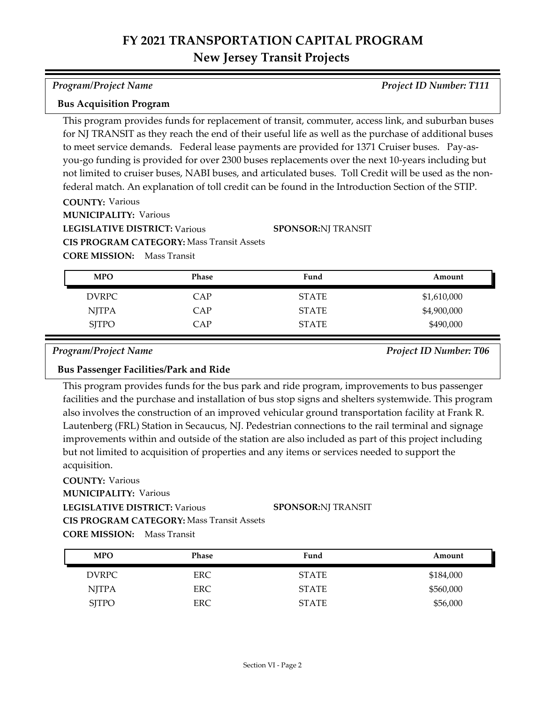### *Program/Project Name Project ID Number: T111*

### **Bus Acquisition Program**

This program provides funds for replacement of transit, commuter, access link, and suburban buses for NJ TRANSIT as they reach the end of their useful life as well as the purchase of additional buses to meet service demands. Federal lease payments are provided for 1371 Cruiser buses. Pay-asyou-go funding is provided for over 2300 buses replacements over the next 10-years including but not limited to cruiser buses, NABI buses, and articulated buses. Toll Credit will be used as the nonfederal match. An explanation of toll credit can be found in the Introduction Section of the STIP.

**COUNTY:** Various

**MUNICIPALITY: Various** 

**LEGISLATIVE DISTRICT:** Various

**CIS PROGRAM CATEGORY:** Mass Transit Assets

**CORE MISSION:** Mass Transit

| <b>MPO</b>   | <b>Phase</b> | Fund         | Amount      |
|--------------|--------------|--------------|-------------|
| DVRPC        | <b>CAP</b>   | <b>STATE</b> | \$1,610,000 |
| <b>NJTPA</b> | CAP          | <b>STATE</b> | \$4,900,000 |
| <b>SJTPO</b> | CAP          | <b>STATE</b> | \$490,000   |

**SPONSOR:** NJ TRANSIT

*Program/Project Name Project ID Number: T06*

### **Bus Passenger Facilities/Park and Ride**

This program provides funds for the bus park and ride program, improvements to bus passenger facilities and the purchase and installation of bus stop signs and shelters systemwide. This program also involves the construction of an improved vehicular ground transportation facility at Frank R. Lautenberg (FRL) Station in Secaucus, NJ. Pedestrian connections to the rail terminal and signage improvements within and outside of the station are also included as part of this project including but not limited to acquisition of properties and any items or services needed to support the acquisition.

**COUNTY:** Various **LEGISLATIVE DISTRICT:** Various **MUNICIPALITY: Various CORE MISSION:** Mass Transit **CIS PROGRAM CATEGORY:** Mass Transit Assets**SPONSOR:** NJ TRANSIT

| <b>MPO</b>   | <b>Phase</b> | Fund         | Amount    |
|--------------|--------------|--------------|-----------|
| <b>DVRPC</b> | ERC.         | <b>STATE</b> | \$184,000 |
| <b>NJTPA</b> | <b>ERC</b>   | <b>STATE</b> | \$560,000 |
| <b>SJTPO</b> | ERC          | <b>STATE</b> | \$56,000  |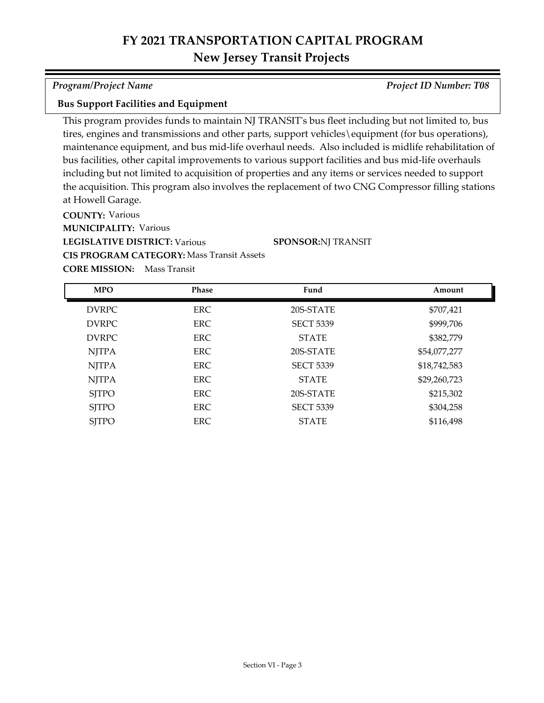*Program/Project Name Project ID Number: T08*

### **Bus Support Facilities and Equipment**

This program provides funds to maintain NJ TRANSIT's bus fleet including but not limited to, bus tires, engines and transmissions and other parts, support vehicles\equipment (for bus operations), maintenance equipment, and bus mid-life overhaul needs. Also included is midlife rehabilitation of bus facilities, other capital improvements to various support facilities and bus mid-life overhauls including but not limited to acquisition of properties and any items or services needed to support the acquisition. This program also involves the replacement of two CNG Compressor filling stations at Howell Garage.

**COUNTY:** Various **LEGISLATIVE DISTRICT:** Various **MUNICIPALITY: Various CIS PROGRAM CATEGORY:** Mass Transit Assets

**SPONSOR:** NJ TRANSIT

| <b>MPO</b>   | <b>Phase</b> | Fund             | Amount       |
|--------------|--------------|------------------|--------------|
| <b>DVRPC</b> | <b>ERC</b>   | 20S-STATE        | \$707,421    |
| <b>DVRPC</b> | <b>ERC</b>   | <b>SECT 5339</b> | \$999,706    |
| <b>DVRPC</b> | <b>ERC</b>   | <b>STATE</b>     | \$382,779    |
| <b>NJTPA</b> | <b>ERC</b>   | 20S-STATE        | \$54,077,277 |
| <b>NJTPA</b> | <b>ERC</b>   | <b>SECT 5339</b> | \$18,742,583 |
| <b>NJTPA</b> | ERC          | <b>STATE</b>     | \$29,260,723 |
| <b>SJTPO</b> | ERC          | 20S-STATE        | \$215,302    |
| <b>SJTPO</b> | ERC          | <b>SECT 5339</b> | \$304,258    |
| <b>SITPO</b> | <b>ERC</b>   | <b>STATE</b>     | \$116,498    |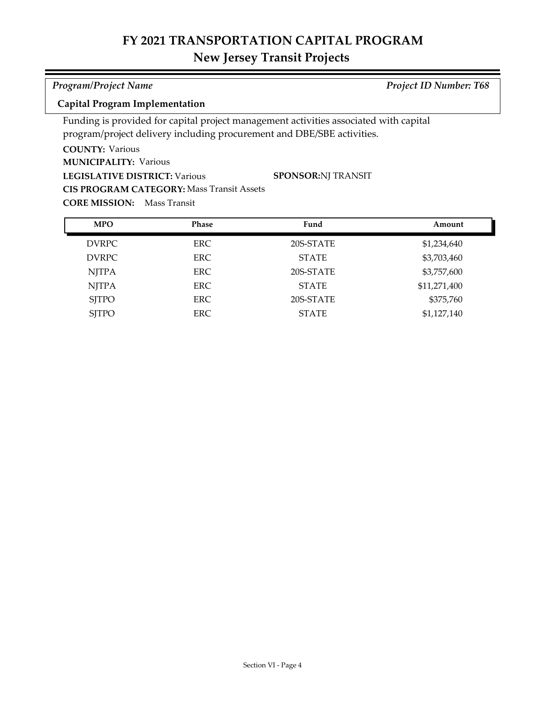# **FY 2021 TRANSPORTATION CAPITAL PROGRAM**

# **New Jersey Transit Projects**

| <b>Program/Project Name</b> | <b>Project ID Number: T68</b> |
|-----------------------------|-------------------------------|

## **Capital Program Implementation**

Funding is provided for capital project management activities associated with capital program/project delivery including procurement and DBE/SBE activities.

## **COUNTY:** Various

**MUNICIPALITY: Various** 

**LEGISLATIVE DISTRICT:** Various

**CIS PROGRAM CATEGORY:** Mass Transit Assets

**SPONSOR:** NJ TRANSIT

| <b>MPO</b>   | Phase | Fund         | Amount       |
|--------------|-------|--------------|--------------|
| <b>DVRPC</b> | ERC.  | 20S-STATE    | \$1,234,640  |
| <b>DVRPC</b> | ERC.  | <b>STATE</b> | \$3,703,460  |
| <b>NJTPA</b> | ERC.  | 20S-STATE    | \$3,757,600  |
| <b>NJTPA</b> | ERC.  | <b>STATE</b> | \$11,271,400 |
| <b>SITPO</b> | ERC.  | 20S-STATE    | \$375,760    |
| <b>SJTPO</b> | ERC.  | <b>STATE</b> | \$1,127,140  |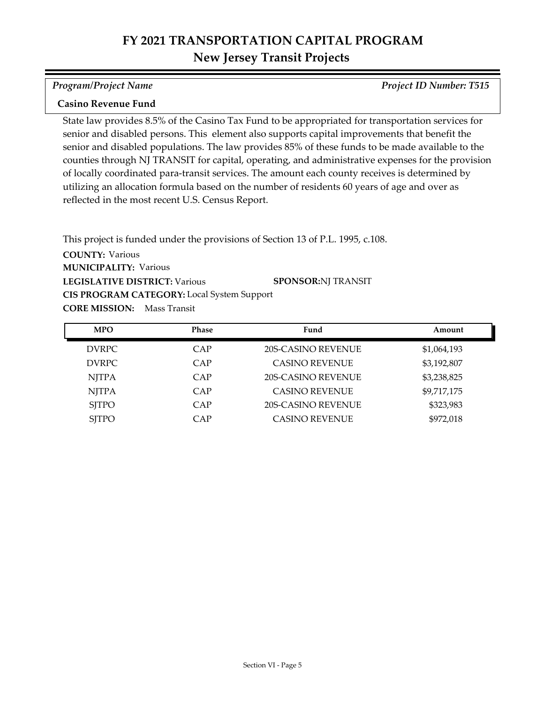### *Program/Project Name Project ID Number: T515*

# **Casino Revenue Fund**

State law provides 8.5% of the Casino Tax Fund to be appropriated for transportation services for senior and disabled persons. This element also supports capital improvements that benefit the senior and disabled populations. The law provides 85% of these funds to be made available to the counties through NJ TRANSIT for capital, operating, and administrative expenses for the provision of locally coordinated para-transit services. The amount each county receives is determined by utilizing an allocation formula based on the number of residents 60 years of age and over as reflected in the most recent U.S. Census Report.

**COUNTY:** Various **LEGISLATIVE DISTRICT:** Various **MUNICIPALITY: Various CORE MISSION:** Mass Transit This project is funded under the provisions of Section 13 of P.L. 1995, c.108. **CIS PROGRAM CATEGORY:** Local System Support**SPONSOR:** NJ TRANSIT

| <b>MPO</b>   | <b>Phase</b> | Fund                      | Amount      |
|--------------|--------------|---------------------------|-------------|
| <b>DVRPC</b> | CAP          | <b>20S-CASINO REVENUE</b> | \$1,064,193 |
| <b>DVRPC</b> | CAP          | <b>CASINO REVENUE</b>     | \$3,192,807 |
| <b>NJTPA</b> | CAP          | <b>20S-CASINO REVENUE</b> | \$3,238,825 |
| <b>NJTPA</b> | CAP          | <b>CASINO REVENUE</b>     | \$9,717,175 |
| <b>SITPO</b> | CAP          | 20S-CASINO REVENUE        | \$323,983   |
| <b>SJTPO</b> | CAP          | <b>CASINO REVENUE</b>     | \$972,018   |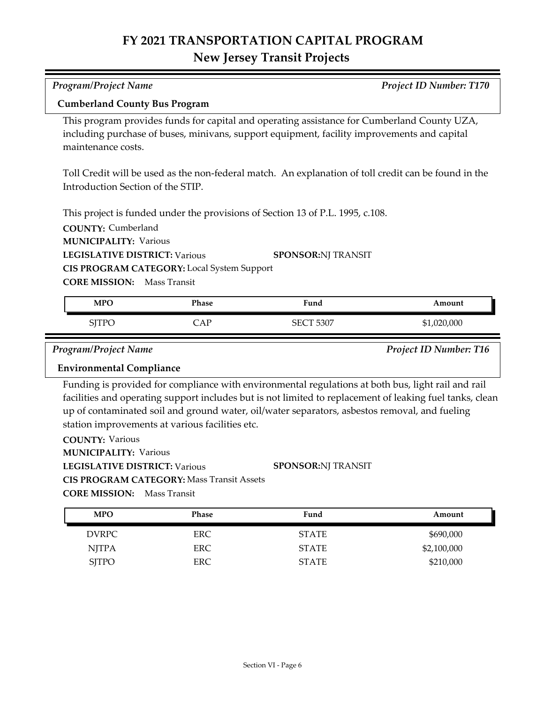| Program/Project Name                                                                                      |              |                                                                                                                                                                                                                                                                                                                 | Project ID Number: T170       |  |
|-----------------------------------------------------------------------------------------------------------|--------------|-----------------------------------------------------------------------------------------------------------------------------------------------------------------------------------------------------------------------------------------------------------------------------------------------------------------|-------------------------------|--|
| <b>Cumberland County Bus Program</b>                                                                      |              |                                                                                                                                                                                                                                                                                                                 |                               |  |
| maintenance costs.                                                                                        |              | This program provides funds for capital and operating assistance for Cumberland County UZA,<br>including purchase of buses, minivans, support equipment, facility improvements and capital                                                                                                                      |                               |  |
| Introduction Section of the STIP.                                                                         |              | Toll Credit will be used as the non-federal match. An explanation of toll credit can be found in the                                                                                                                                                                                                            |                               |  |
| <b>COUNTY: Cumberland</b><br><b>MUNICIPALITY: Various</b>                                                 |              | This project is funded under the provisions of Section 13 of P.L. 1995, c.108.                                                                                                                                                                                                                                  |                               |  |
| <b>LEGISLATIVE DISTRICT: Various</b>                                                                      |              | <b>SPONSOR:NJ TRANSIT</b>                                                                                                                                                                                                                                                                                       |                               |  |
| CIS PROGRAM CATEGORY: Local System Support                                                                |              |                                                                                                                                                                                                                                                                                                                 |                               |  |
| <b>CORE MISSION:</b> Mass Transit                                                                         |              |                                                                                                                                                                                                                                                                                                                 |                               |  |
| <b>MPO</b>                                                                                                | <b>Phase</b> | Fund                                                                                                                                                                                                                                                                                                            | Amount                        |  |
|                                                                                                           |              |                                                                                                                                                                                                                                                                                                                 |                               |  |
| <b>SJTPO</b>                                                                                              | CAP          | <b>SECT 5307</b>                                                                                                                                                                                                                                                                                                | \$1,020,000                   |  |
| Program/Project Name                                                                                      |              |                                                                                                                                                                                                                                                                                                                 | <b>Project ID Number: T16</b> |  |
| <b>Environmental Compliance</b>                                                                           |              |                                                                                                                                                                                                                                                                                                                 |                               |  |
|                                                                                                           |              | Funding is provided for compliance with environmental regulations at both bus, light rail and rail<br>facilities and operating support includes but is not limited to replacement of leaking fuel tanks, clean<br>up of contaminated soil and ground water, oil/water separators, asbestos removal, and fueling |                               |  |
| station improvements at various facilities etc.<br><b>COUNTY: Various</b><br><b>MUNICIPALITY: Various</b> |              |                                                                                                                                                                                                                                                                                                                 |                               |  |
| <b>LEGISLATIVE DISTRICT: Various</b>                                                                      |              | <b>SPONSOR:NJ TRANSIT</b>                                                                                                                                                                                                                                                                                       |                               |  |
| <b>CIS PROGRAM CATEGORY: Mass Transit Assets</b>                                                          |              |                                                                                                                                                                                                                                                                                                                 |                               |  |
| <b>CORE MISSION:</b> Mass Transit                                                                         |              |                                                                                                                                                                                                                                                                                                                 |                               |  |

| Amount      | Fund         | Phase | <b>MPO</b>   |
|-------------|--------------|-------|--------------|
| \$690,000   | <b>STATE</b> | ERC.  | DVRPC        |
| \$2,100,000 | <b>STATE</b> | ERC.  | NJTPA        |
| \$210,000   | <b>STATE</b> | ERC   | <b>SJTPO</b> |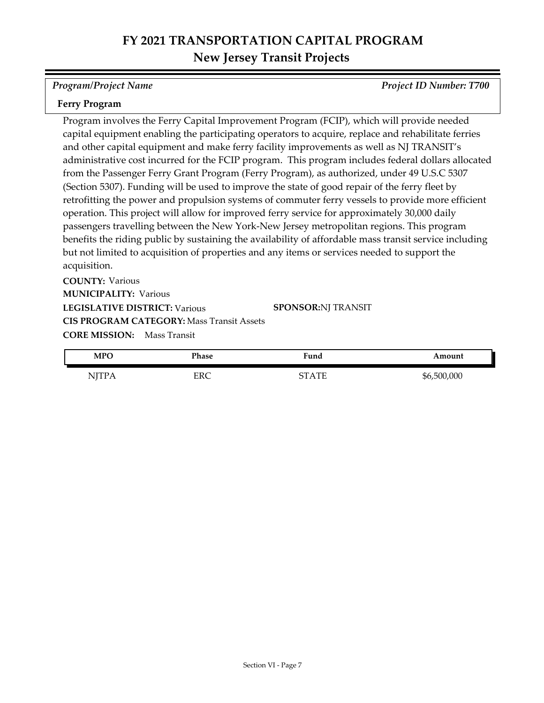*Program/Project Name Project ID Number: T700*

### **Ferry Program**

Program involves the Ferry Capital Improvement Program (FCIP), which will provide needed capital equipment enabling the participating operators to acquire, replace and rehabilitate ferries and other capital equipment and make ferry facility improvements as well as NJ TRANSIT's administrative cost incurred for the FCIP program. This program includes federal dollars allocated from the Passenger Ferry Grant Program (Ferry Program), as authorized, under 49 U.S.C 5307 (Section 5307). Funding will be used to improve the state of good repair of the ferry fleet by retrofitting the power and propulsion systems of commuter ferry vessels to provide more efficient operation. This project will allow for improved ferry service for approximately 30,000 daily passengers travelling between the New York-New Jersey metropolitan regions. This program benefits the riding public by sustaining the availability of affordable mass transit service including but not limited to acquisition of properties and any items or services needed to support the acquisition.

**COUNTY:** Various **LEGISLATIVE DISTRICT:** Various **MUNICIPALITY: Various CORE MISSION:** Mass Transit **CIS PROGRAM CATEGORY:** Mass Transit Assets

**SPONSOR:** NJ TRANSIT

| <b>MPC</b>                                         | Phase | Fund  | Amount      |
|----------------------------------------------------|-------|-------|-------------|
| NITP <sub>k</sub><br>$\blacksquare$ $\blacksquare$ | ERC   | STATE | \$6,500,000 |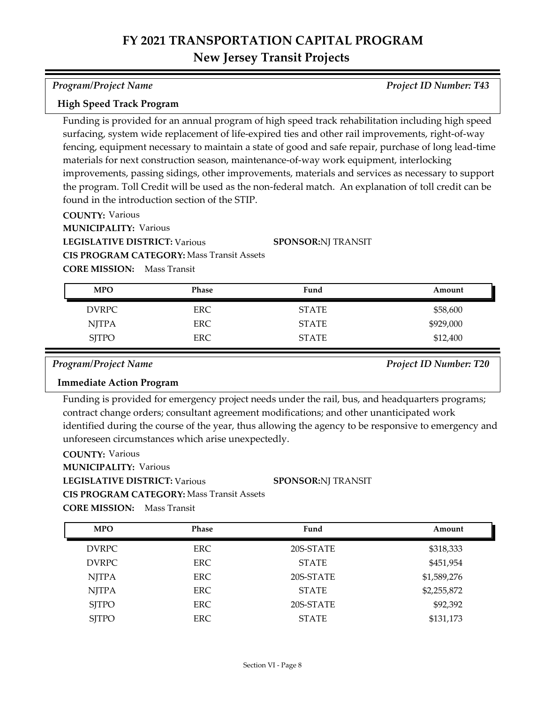### *Program/Project Name Project ID Number: T43*

### **High Speed Track Program**

Funding is provided for an annual program of high speed track rehabilitation including high speed surfacing, system wide replacement of life-expired ties and other rail improvements, right-of-way fencing, equipment necessary to maintain a state of good and safe repair, purchase of long lead-time materials for next construction season, maintenance-of-way work equipment, interlocking improvements, passing sidings, other improvements, materials and services as necessary to support the program. Toll Credit will be used as the non-federal match. An explanation of toll credit can be found in the introduction section of the STIP.

**COUNTY:** Various

**MUNICIPALITY: Various** 

**LEGISLATIVE DISTRICT:** Various

**SPONSOR:** NJ TRANSIT

**CORE MISSION:** Mass Transit **CIS PROGRAM CATEGORY:** Mass Transit Assets

| --------------- |  |
|-----------------|--|
|                 |  |
|                 |  |
|                 |  |
|                 |  |
|                 |  |

| <b>MPO</b>   | Phase      | Fund         | Amount    |
|--------------|------------|--------------|-----------|
| <b>DVRPC</b> | ERC        | <b>STATE</b> | \$58,600  |
| <b>NJTPA</b> | <b>ERC</b> | <b>STATE</b> | \$929,000 |
| <b>SJTPO</b> | ERC        | <b>STATE</b> | \$12,400  |

*Program/Project Name Project ID Number: T20*

### **Immediate Action Program**

Funding is provided for emergency project needs under the rail, bus, and headquarters programs; contract change orders; consultant agreement modifications; and other unanticipated work identified during the course of the year, thus allowing the agency to be responsive to emergency and unforeseen circumstances which arise unexpectedly.

**COUNTY:** Various

**MUNICIPALITY: Various** 

**LEGISLATIVE DISTRICT:** Various

**CIS PROGRAM CATEGORY:** Mass Transit Assets

**SPONSOR:** NJ TRANSIT

| <b>MPO</b>   | <b>Phase</b> | Fund         | Amount      |
|--------------|--------------|--------------|-------------|
| DVRPC        | ERC.         | 20S-STATE    | \$318,333   |
| <b>DVRPC</b> | <b>ERC</b>   | <b>STATE</b> | \$451,954   |
| <b>NJTPA</b> | <b>ERC</b>   | 20S-STATE    | \$1,589,276 |
| <b>NJTPA</b> | <b>ERC</b>   | <b>STATE</b> | \$2,255,872 |
| <b>SJTPO</b> | <b>ERC</b>   | 20S-STATE    | \$92,392    |
| <b>SJTPO</b> | ERC.         | <b>STATE</b> | \$131,173   |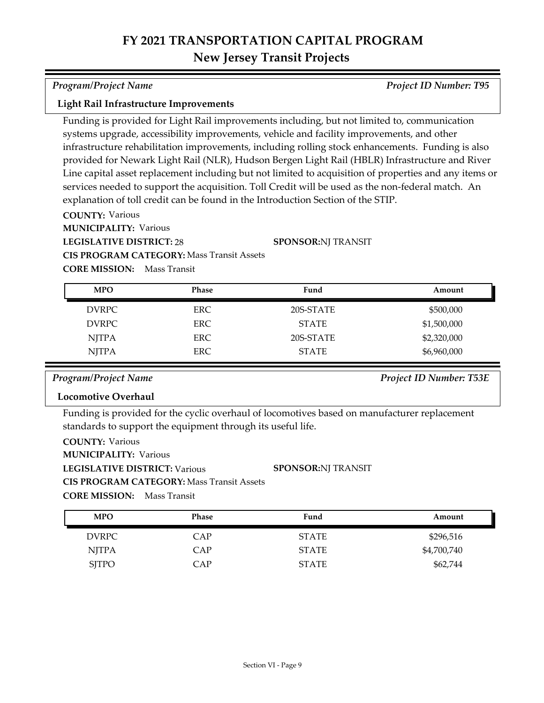*Program/Project Name Project ID Number: T95*

### **Light Rail Infrastructure Improvements**

Funding is provided for Light Rail improvements including, but not limited to, communication systems upgrade, accessibility improvements, vehicle and facility improvements, and other infrastructure rehabilitation improvements, including rolling stock enhancements. Funding is also provided for Newark Light Rail (NLR), Hudson Bergen Light Rail (HBLR) Infrastructure and River Line capital asset replacement including but not limited to acquisition of properties and any items or services needed to support the acquisition. Toll Credit will be used as the non-federal match. An explanation of toll credit can be found in the Introduction Section of the STIP.

**COUNTY:** Various

**MUNICIPALITY: Various** 

**LEGISLATIVE DISTRICT:** 28

**SPONSOR:** NJ TRANSIT

**CIS PROGRAM CATEGORY:** Mass Transit Assets

**CORE MISSION:** Mass Transit

| <b>MPO</b>   | <b>Phase</b> | Fund         | Amount      |
|--------------|--------------|--------------|-------------|
| <b>DVRPC</b> | ERC.         | 20S-STATE    | \$500,000   |
| DVRPC        | ERC.         | <b>STATE</b> | \$1,500,000 |
| <b>NJTPA</b> | ERC.         | 20S-STATE    | \$2,320,000 |
| <b>NJTPA</b> | <b>ERC</b>   | <b>STATE</b> | \$6,960,000 |

## *Program/Project Name Project ID Number: T53E*

### **Locomotive Overhaul**

Funding is provided for the cyclic overhaul of locomotives based on manufacturer replacement standards to support the equipment through its useful life.

| <b>COUNTY: Various</b>               |                                                  |                           |
|--------------------------------------|--------------------------------------------------|---------------------------|
| <b>MUNICIPALITY: Various</b>         |                                                  |                           |
| <b>LEGISLATIVE DISTRICT: Various</b> |                                                  | <b>SPONSOR:NI TRANSIT</b> |
|                                      | <b>CIS PROGRAM CATEGORY: Mass Transit Assets</b> |                           |
| <b>CORE MISSION:</b> Mass Transit    |                                                  |                           |

| <b>MPO</b>   | Phase | Fund         | Amount      |
|--------------|-------|--------------|-------------|
| DVRPC        | CAP   | <b>STATE</b> | \$296,516   |
| <b>NJTPA</b> | CAP   | <b>STATE</b> | \$4,700,740 |
| <b>SITPO</b> | CAP   | <b>STATE</b> | \$62,744    |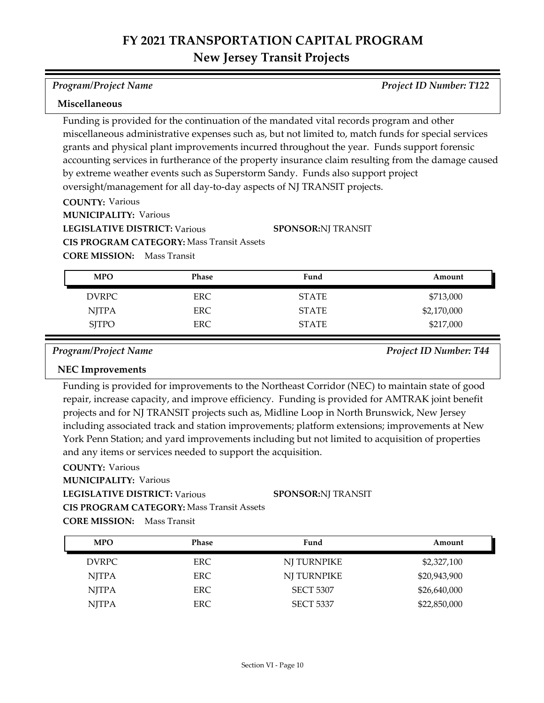*Program/Project Name Project ID Number: T122*

### **Miscellaneous**

Funding is provided for the continuation of the mandated vital records program and other miscellaneous administrative expenses such as, but not limited to, match funds for special services grants and physical plant improvements incurred throughout the year. Funds support forensic accounting services in furtherance of the property insurance claim resulting from the damage caused by extreme weather events such as Superstorm Sandy. Funds also support project oversight/management for all day-to-day aspects of NJ TRANSIT projects.

**COUNTY:** Various

**MUNICIPALITY: Various** 

**LEGISLATIVE DISTRICT:** Various

**SPONSOR:** NJ TRANSIT

**CIS PROGRAM CATEGORY:** Mass Transit Assets

**CORE MISSION:** Mass Transit

| <b>MPO</b>   | <b>Phase</b> | Fund         | Amount      |
|--------------|--------------|--------------|-------------|
| <b>DVRPC</b> | ERC.         | <b>STATE</b> | \$713,000   |
| <b>NJTPA</b> | ERC.         | <b>STATE</b> | \$2,170,000 |
| <b>SJTPO</b> | <b>ERC</b>   | <b>STATE</b> | \$217,000   |

*Program/Project Name Project ID Number: T44*

## **NEC Improvements**

Funding is provided for improvements to the Northeast Corridor (NEC) to maintain state of good repair, increase capacity, and improve efficiency. Funding is provided for AMTRAK joint benefit projects and for NJ TRANSIT projects such as, Midline Loop in North Brunswick, New Jersey including associated track and station improvements; platform extensions; improvements at New York Penn Station; and yard improvements including but not limited to acquisition of properties and any items or services needed to support the acquisition.

### **COUNTY:** Various

**MUNICIPALITY: Various** 

**LEGISLATIVE DISTRICT:** Various

**SPONSOR:** NJ TRANSIT

**CIS PROGRAM CATEGORY:** Mass Transit Assets

| <b>MPO</b>   | <b>Phase</b> | Fund             | Amount       |
|--------------|--------------|------------------|--------------|
| <b>DVRPC</b> | ERC.         | NI TURNPIKE      | \$2,327,100  |
| <b>NJTPA</b> | ERC.         | NJ TURNPIKE      | \$20,943,900 |
| <b>NJTPA</b> | ERC.         | <b>SECT 5307</b> | \$26,640,000 |
| <b>NJTPA</b> | ERC          | <b>SECT 5337</b> | \$22,850,000 |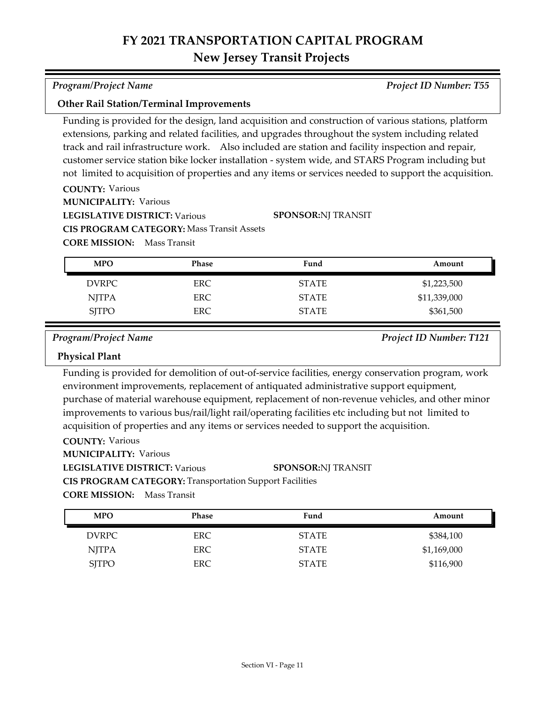## **Other Rail Station/Terminal Improvements**

Funding is provided for the design, land acquisition and construction of various stations, platform extensions, parking and related facilities, and upgrades throughout the system including related track and rail infrastructure work. Also included are station and facility inspection and repair, customer service station bike locker installation - system wide, and STARS Program including but not limited to acquisition of properties and any items or services needed to support the acquisition.

**COUNTY:** Various **LEGISLATIVE DISTRICT:** Various **MUNICIPALITY: Various CORE MISSION:** Mass Transit **CIS PROGRAM CATEGORY:** Mass Transit Assets **SPONSOR:** NJ TRANSIT

| <b>MPO</b>   | Phase | Fund         | Amount       |
|--------------|-------|--------------|--------------|
| <b>DVRPC</b> | ERC.  | <b>STATE</b> | \$1,223,500  |
| <b>NJTPA</b> | ERC.  | <b>STATE</b> | \$11,339,000 |
| <b>SJTPO</b> | ERC   | <b>STATE</b> | \$361,500    |

*Program/Project Name Project ID Number: T121*

### **Physical Plant**

Funding is provided for demolition of out-of-service facilities, energy conservation program, work environment improvements, replacement of antiquated administrative support equipment, purchase of material warehouse equipment, replacement of non-revenue vehicles, and other minor improvements to various bus/rail/light rail/operating facilities etc including but not limited to acquisition of properties and any items or services needed to support the acquisition.

## **COUNTY:** Various

**MUNICIPALITY: Various** 

### **LEGISLATIVE DISTRICT:** Various **SPONSOR:** NJ TRANSIT

**CIS PROGRAM CATEGORY:** Transportation Support Facilities

**CORE MISSION:** Mass Transit

| <b>MPO</b>   | Phase      | Fund         | Amount      |
|--------------|------------|--------------|-------------|
| <b>DVRPC</b> | ERC.       | <b>STATE</b> | \$384,100   |
| NJTPA        | <b>ERC</b> | <b>STATE</b> | \$1,169,000 |
| <b>SITPO</b> | <b>ERC</b> | <b>STATE</b> | \$116,900   |

*Program/Project Name Project ID Number: T55*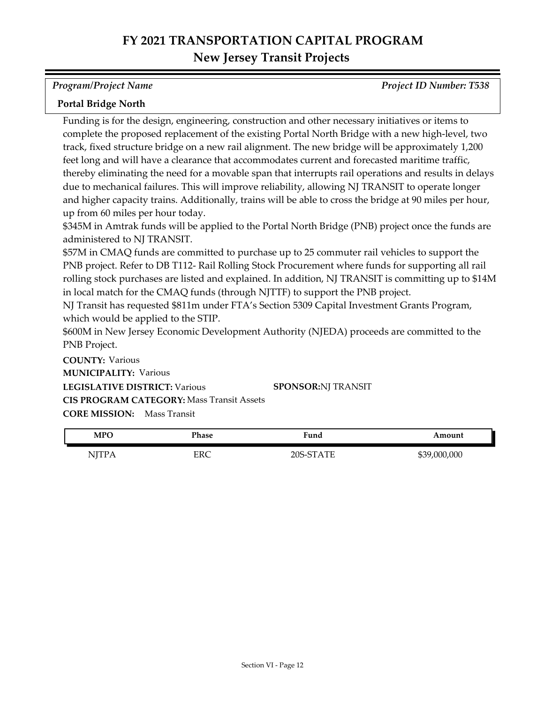*Program/Project Name Project ID Number: T538*

## **Portal Bridge North**

Funding is for the design, engineering, construction and other necessary initiatives or items to complete the proposed replacement of the existing Portal North Bridge with a new high-level, two track, fixed structure bridge on a new rail alignment. The new bridge will be approximately 1,200 feet long and will have a clearance that accommodates current and forecasted maritime traffic, thereby eliminating the need for a movable span that interrupts rail operations and results in delays due to mechanical failures. This will improve reliability, allowing NJ TRANSIT to operate longer and higher capacity trains. Additionally, trains will be able to cross the bridge at 90 miles per hour, up from 60 miles per hour today.

\$345M in Amtrak funds will be applied to the Portal North Bridge (PNB) project once the funds are administered to NJ TRANSIT.

\$57M in CMAQ funds are committed to purchase up to 25 commuter rail vehicles to support the PNB project. Refer to DB T112- Rail Rolling Stock Procurement where funds for supporting all rail rolling stock purchases are listed and explained. In addition, NJ TRANSIT is committing up to \$14M in local match for the CMAQ funds (through NJTTF) to support the PNB project.

NJ Transit has requested \$811m under FTA's Section 5309 Capital Investment Grants Program, which would be applied to the STIP.

\$600M in New Jersey Economic Development Authority (NJEDA) proceeds are committed to the PNB Project.

**COUNTY:** Various **LEGISLATIVE DISTRICT:** Various **MUNICIPALITY: Various CORE MISSION:** Mass Transit **CIS PROGRAM CATEGORY:** Mass Transit Assets**SPONSOR:** NJ TRANSIT

| <b>MPO</b>  | <sup>p</sup> hase | Fund                         | Amount              |
|-------------|-------------------|------------------------------|---------------------|
| NI<br>TT TT | ERC               | <b>TUTT</b><br>$\cap$<br>⊃∩כ | 000,000<br>$\cdots$ |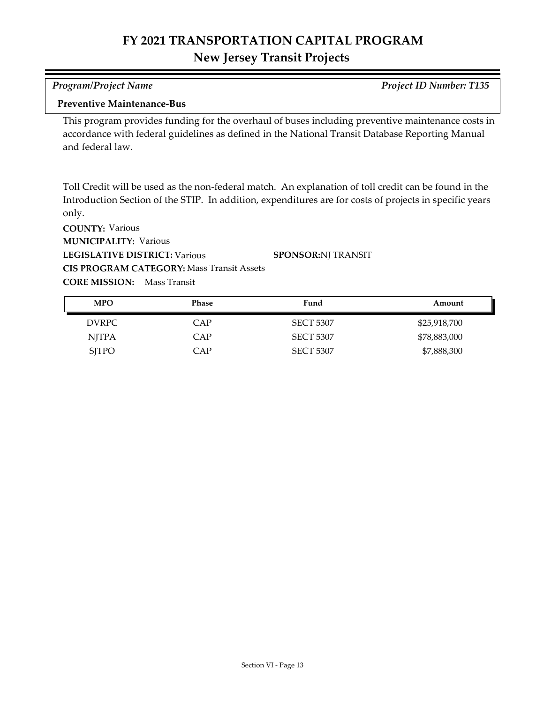| <b>Program/Project Name</b>                                                                                                                                                                                              | <b>Project ID Number: T135</b> |
|--------------------------------------------------------------------------------------------------------------------------------------------------------------------------------------------------------------------------|--------------------------------|
| <b>Preventive Maintenance-Bus</b>                                                                                                                                                                                        |                                |
| This program provides funding for the overhaul of buses including preventive maintenance costs in<br>accordance with federal guidelines as defined in the National Transit Database Reporting Manual<br>and federal law. |                                |

Toll Credit will be used as the non-federal match. An explanation of toll credit can be found in the Introduction Section of the STIP. In addition, expenditures are for costs of projects in specific years only.

**COUNTY:** Various **LEGISLATIVE DISTRICT:** Various **MUNICIPALITY: Various CORE MISSION:** Mass Transit **CIS PROGRAM CATEGORY:** Mass Transit Assets**SPONSOR:** NJ TRANSIT

| <b>MPO</b>   | Phase | Fund             | Amount       |
|--------------|-------|------------------|--------------|
| DVRPC        | CAP   | <b>SECT 5307</b> | \$25,918,700 |
| <b>NJTPA</b> | CAP   | <b>SECT 5307</b> | \$78,883,000 |
| <b>SJTPO</b> | CAP   | <b>SECT 5307</b> | \$7,888,300  |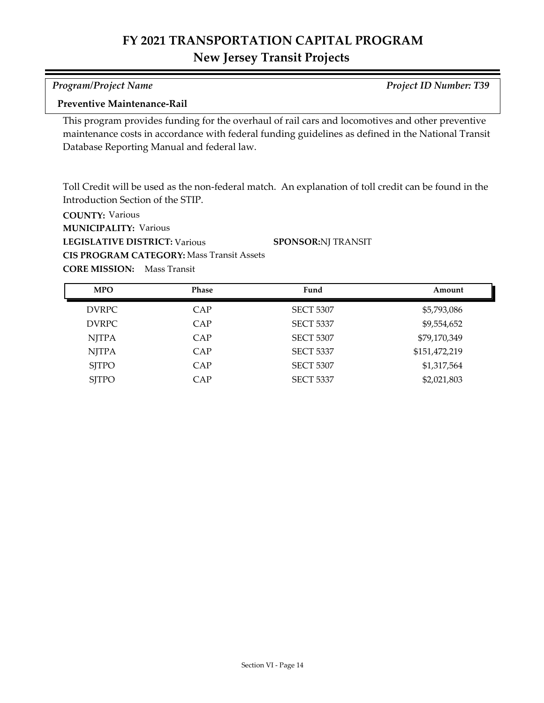| <b>Program/Project Name</b> | <b>Project ID Number: T39</b> |
|-----------------------------|-------------------------------|

## **Preventive Maintenance-Rail**

This program provides funding for the overhaul of rail cars and locomotives and other preventive maintenance costs in accordance with federal funding guidelines as defined in the National Transit Database Reporting Manual and federal law.

Toll Credit will be used as the non-federal match. An explanation of toll credit can be found in the Introduction Section of the STIP.

**COUNTY:** Various **LEGISLATIVE DISTRICT:** Various **MUNICIPALITY: Various CORE MISSION:** Mass Transit **CIS PROGRAM CATEGORY:** Mass Transit Assets**SPONSOR:** NJ TRANSIT

DVRPC CAP SECT 5307 \$5,793,086 DVRPC CAP SECT 5337 \$9,554,652 NJTPA CAP SECT 5307 \$79,170,349 NJTPA CAP SECT 5337 \$151,472,219 SJTPO CAP SECT 5307 \$1,317,564 SJTPO CAP SECT 5337 \$2,021,803 **MPO Phase Fund Amount**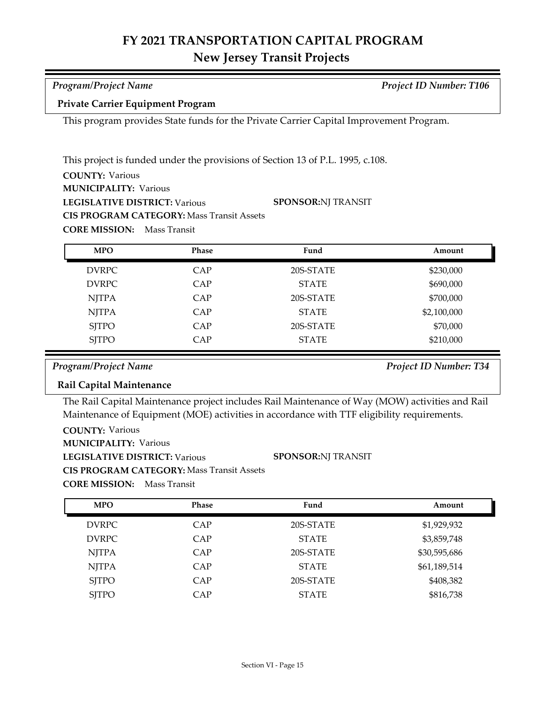# **FY 2021 TRANSPORTATION CAPITAL PROGRAM**

# **New Jersey Transit Projects**

| Program/Project Name                     | <b>Project ID Number: T106</b> |
|------------------------------------------|--------------------------------|
| <b>Private Carrier Equipment Program</b> |                                |

This program provides State funds for the Private Carrier Capital Improvement Program.

**COUNTY:** Various **LEGISLATIVE DISTRICT:** Various **MUNICIPALITY: Various CORE MISSION:** Mass Transit This project is funded under the provisions of Section 13 of P.L. 1995, c.108. **CIS PROGRAM CATEGORY:** Mass Transit Assets **SPONSOR:** NJ TRANSIT

| <b>MPO</b>   | Phase | Fund         | Amount      |
|--------------|-------|--------------|-------------|
| <b>DVRPC</b> | CAP   | 20S-STATE    | \$230,000   |
| <b>DVRPC</b> | CAP   | <b>STATE</b> | \$690,000   |
| <b>NJTPA</b> | CAP   | 20S-STATE    | \$700,000   |
| <b>NJTPA</b> | CAP   | <b>STATE</b> | \$2,100,000 |
| <b>SJTPO</b> | CAP   | 20S-STATE    | \$70,000    |
| <b>SJTPO</b> | CAP   | <b>STATE</b> | \$210,000   |

*Program/Project Name Project ID Number: T34*

## **Rail Capital Maintenance**

The Rail Capital Maintenance project includes Rail Maintenance of Way (MOW) activities and Rail Maintenance of Equipment (MOE) activities in accordance with TTF eligibility requirements.

**SPONSOR:** NJ TRANSIT

**COUNTY:** Various

**MUNICIPALITY: Various** 

**LEGISLATIVE DISTRICT:** Various

**CIS PROGRAM CATEGORY:** Mass Transit Assets

| <b>MPO</b>   | Phase | Fund         | Amount       |
|--------------|-------|--------------|--------------|
| <b>DVRPC</b> | CAP   | 20S-STATE    | \$1,929,932  |
| <b>DVRPC</b> | CAP   | <b>STATE</b> | \$3,859,748  |
| <b>NJTPA</b> | CAP   | 20S-STATE    | \$30,595,686 |
| <b>NJTPA</b> | CAP   | <b>STATE</b> | \$61,189,514 |
| <b>SJTPO</b> | CAP   | 20S-STATE    | \$408,382    |
| <b>SJTPO</b> | CAP   | <b>STATE</b> | \$816,738    |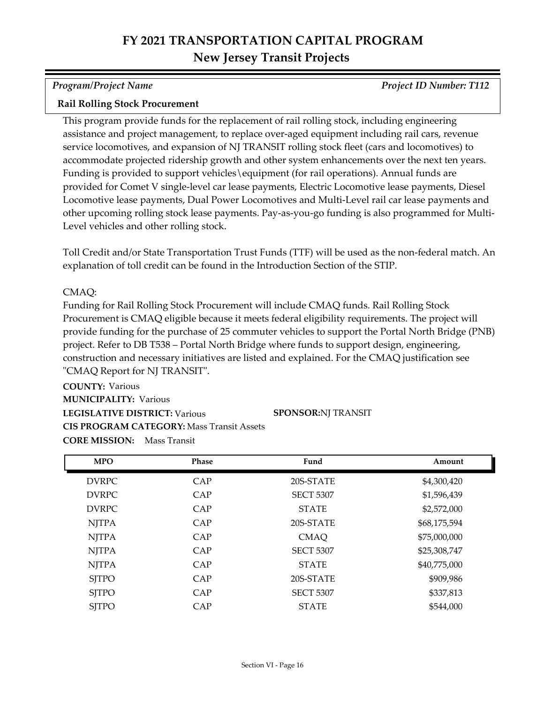*Program/Project Name Project ID Number: T112*

## **Rail Rolling Stock Procurement**

This program provide funds for the replacement of rail rolling stock, including engineering assistance and project management, to replace over-aged equipment including rail cars, revenue service locomotives, and expansion of NJ TRANSIT rolling stock fleet (cars and locomotives) to accommodate projected ridership growth and other system enhancements over the next ten years. Funding is provided to support vehicles\equipment (for rail operations). Annual funds are provided for Comet V single-level car lease payments, Electric Locomotive lease payments, Diesel Locomotive lease payments, Dual Power Locomotives and Multi-Level rail car lease payments and other upcoming rolling stock lease payments. Pay-as-you-go funding is also programmed for Multi-Level vehicles and other rolling stock.

Toll Credit and/or State Transportation Trust Funds (TTF) will be used as the non-federal match. An explanation of toll credit can be found in the Introduction Section of the STIP.

## CMAQ:

Funding for Rail Rolling Stock Procurement will include CMAQ funds. Rail Rolling Stock Procurement is CMAQ eligible because it meets federal eligibility requirements. The project will provide funding for the purchase of 25 commuter vehicles to support the Portal North Bridge (PNB) project. Refer to DB T538 – Portal North Bridge where funds to support design, engineering, construction and necessary initiatives are listed and explained. For the CMAQ justification see "CMAQ Report for NJ TRANSIT".

**COUNTY:** Various **LEGISLATIVE DISTRICT:** Various **MUNICIPALITY: Various CORE MISSION:** Mass Transit **CIS PROGRAM CATEGORY:** Mass Transit Assets**SPONSOR:** NJ TRANSIT

DVRPC CAP 20S-STATE \$4,300,420 DVRPC CAP SECT 5307 \$1,596,439 DVRPC CAP STATE \$2,572,000 NJTPA CAP 20S-STATE \$68,175,594 NJTPA CAP CMAQ \$75,000,000 NJTPA CAP SECT 5307 \$25,308,747 NJTPA CAP STATE \$40,775,000 SITPO CAP 20S-STATE \$909,986 SITPO CAP SECT 5307 \$337,813 SITPO CAP STATE \$544,000 **MPO Phase Fund Amount**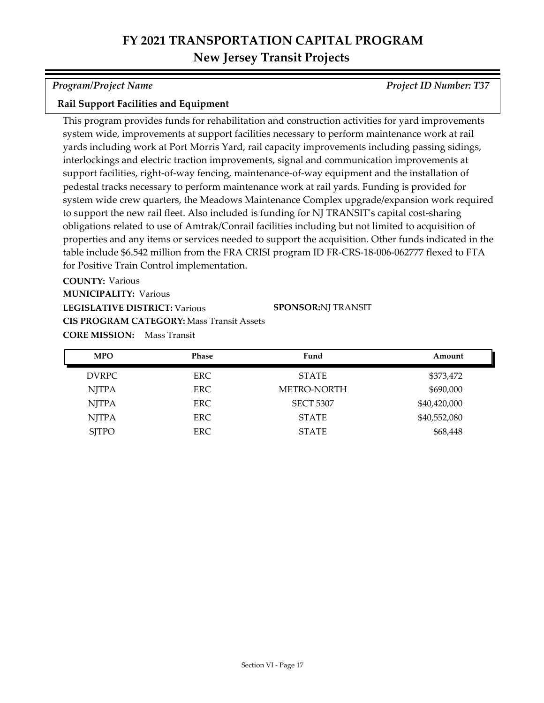*Program/Project Name Project ID Number: T37*

### **Rail Support Facilities and Equipment**

This program provides funds for rehabilitation and construction activities for yard improvements system wide, improvements at support facilities necessary to perform maintenance work at rail yards including work at Port Morris Yard, rail capacity improvements including passing sidings, interlockings and electric traction improvements, signal and communication improvements at support facilities, right-of-way fencing, maintenance-of-way equipment and the installation of pedestal tracks necessary to perform maintenance work at rail yards. Funding is provided for system wide crew quarters, the Meadows Maintenance Complex upgrade/expansion work required to support the new rail fleet. Also included is funding for NJ TRANSIT's capital cost-sharing obligations related to use of Amtrak/Conrail facilities including but not limited to acquisition of properties and any items or services needed to support the acquisition. Other funds indicated in the table include \$6.542 million from the FRA CRISI program ID FR-CRS-18-006-062777 flexed to FTA for Positive Train Control implementation.

**COUNTY:** Various

**MUNICIPALITY: Various** 

**LEGISLATIVE DISTRICT:** Various

**SPONSOR:** NJ TRANSIT

**CORE MISSION:** Mass Transit **CIS PROGRAM CATEGORY:** Mass Transit Assets

| <b>MPO</b>   | <b>Phase</b> | Fund             | Amount       |
|--------------|--------------|------------------|--------------|
| <b>DVRPC</b> | ERC.         | <b>STATE</b>     | \$373,472    |
| <b>NJTPA</b> | <b>ERC</b>   | METRO-NORTH      | \$690,000    |
| <b>NJTPA</b> | <b>ERC</b>   | <b>SECT 5307</b> | \$40,420,000 |
| <b>NJTPA</b> | ERC.         | <b>STATE</b>     | \$40,552,080 |
| <b>SJTPO</b> | ERC.         | <b>STATE</b>     | \$68,448     |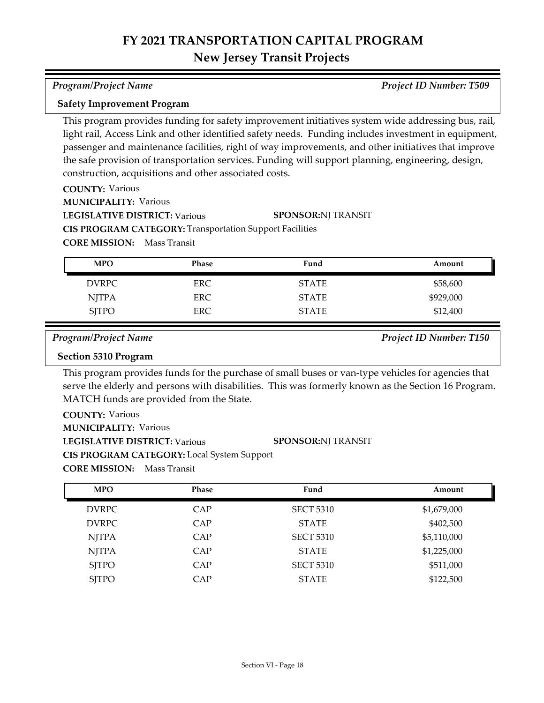### *Program/Project Name Project ID Number: T509*

### **Safety Improvement Program**

This program provides funding for safety improvement initiatives system wide addressing bus, rail, light rail, Access Link and other identified safety needs. Funding includes investment in equipment, passenger and maintenance facilities, right of way improvements, and other initiatives that improve the safe provision of transportation services. Funding will support planning, engineering, design, construction, acquisitions and other associated costs.

**SPONSOR:** NJ TRANSIT

## **COUNTY:** Various

**MUNICIPALITY: Various** 

**LEGISLATIVE DISTRICT:** Various

**CIS PROGRAM CATEGORY:** Transportation Support Facilities

**CORE MISSION:** Mass Transit

| <b>MPO</b>   | Phase      | Fund         | Amount    |
|--------------|------------|--------------|-----------|
| DVRPC        | <b>ERC</b> | <b>STATE</b> | \$58,600  |
| NJTPA        | ERC        | <b>STATE</b> | \$929,000 |
| <b>SJTPO</b> | <b>ERC</b> | <b>STATE</b> | \$12,400  |

*Program/Project Name Project ID Number: T150*

## **Section 5310 Program**

This program provides funds for the purchase of small buses or van-type vehicles for agencies that serve the elderly and persons with disabilities. This was formerly known as the Section 16 Program. MATCH funds are provided from the State.

| <b>COUNTY: Various</b>                            |                           |
|---------------------------------------------------|---------------------------|
| <b>MUNICIPALITY: Various</b>                      |                           |
| LEGISLATIVE DISTRICT: Various                     | <b>SPONSOR:NI TRANSIT</b> |
| <b>CIS PROGRAM CATEGORY:</b> Local System Support |                           |

| <b>MPO</b>   | <b>Phase</b> | Fund             | Amount      |
|--------------|--------------|------------------|-------------|
| <b>DVRPC</b> | CAP          | <b>SECT 5310</b> | \$1,679,000 |
| <b>DVRPC</b> | CAP          | <b>STATE</b>     | \$402,500   |
| <b>NJTPA</b> | CAP          | <b>SECT 5310</b> | \$5,110,000 |
| <b>NJTPA</b> | CAP          | <b>STATE</b>     | \$1,225,000 |
| <b>SITPO</b> | CAP          | <b>SECT 5310</b> | \$511,000   |
| <b>SJTPO</b> | CAP          | <b>STATE</b>     | \$122,500   |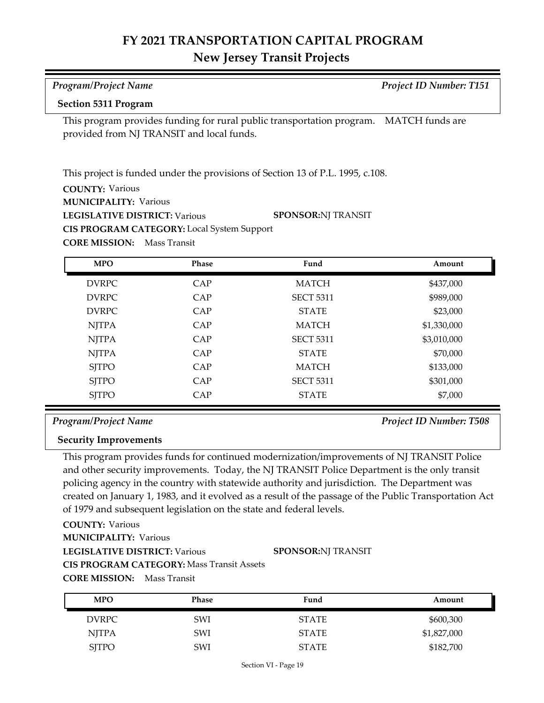# **FY 2021 TRANSPORTATION CAPITAL PROGRAM**

## **New Jersey Transit Projects**

| <b>Program/Project Name</b>                                                                                                         |              |                                                                                | Project ID Number: T151 |  |  |
|-------------------------------------------------------------------------------------------------------------------------------------|--------------|--------------------------------------------------------------------------------|-------------------------|--|--|
| <b>Section 5311 Program</b>                                                                                                         |              |                                                                                |                         |  |  |
| This program provides funding for rural public transportation program. MATCH funds are<br>provided from NJ TRANSIT and local funds. |              |                                                                                |                         |  |  |
|                                                                                                                                     |              | This project is funded under the provisions of Section 13 of P.L. 1995, c.108. |                         |  |  |
| <b>COUNTY: Various</b>                                                                                                              |              |                                                                                |                         |  |  |
| <b>MUNICIPALITY: Various</b>                                                                                                        |              |                                                                                |                         |  |  |
| <b>LEGISLATIVE DISTRICT: Various</b>                                                                                                |              | <b>SPONSOR:NJ TRANSIT</b>                                                      |                         |  |  |
| CIS PROGRAM CATEGORY: Local System Support                                                                                          |              |                                                                                |                         |  |  |
| <b>CORE MISSION:</b>                                                                                                                | Mass Transit |                                                                                |                         |  |  |
| <b>MPO</b>                                                                                                                          | Phase        | Fund                                                                           | Amount                  |  |  |
| <b>DVRPC</b>                                                                                                                        | CAP          | <b>MATCH</b>                                                                   | \$437,000               |  |  |
| <b>DVRPC</b>                                                                                                                        | CAP          | <b>SECT 5311</b>                                                               | \$989,000               |  |  |
| <b>DVRPC</b>                                                                                                                        | CAP          | <b>STATE</b>                                                                   | \$23,000                |  |  |
| <b>NJTPA</b>                                                                                                                        | CAP          | <b>MATCH</b>                                                                   | \$1,330,000             |  |  |
| <b>NJTPA</b>                                                                                                                        | CAP          | <b>SECT 5311</b>                                                               | \$3,010,000             |  |  |
| <b>NJTPA</b>                                                                                                                        | CAP          | <b>STATE</b>                                                                   | \$70,000                |  |  |
| <b>SJTPO</b>                                                                                                                        | CAP          | <b>MATCH</b>                                                                   | \$133,000               |  |  |
| <b>SITPO</b>                                                                                                                        | CAP          | <b>SECT 5311</b>                                                               | \$301,000               |  |  |
| <b>SJTPO</b>                                                                                                                        | CAP          | <b>STATE</b>                                                                   | \$7,000                 |  |  |

## *Program/Project Name Project ID Number: T508*

## **Security Improvements**

This program provides funds for continued modernization/improvements of NJ TRANSIT Police and other security improvements. Today, the NJ TRANSIT Police Department is the only transit policing agency in the country with statewide authority and jurisdiction. The Department was created on January 1, 1983, and it evolved as a result of the passage of the Public Transportation Act of 1979 and subsequent legislation on the state and federal levels.

## **COUNTY:** Various

**MUNICIPALITY: Various** 

**LEGISLATIVE DISTRICT:** Various

### **SPONSOR:** NJ TRANSIT

**CIS PROGRAM CATEGORY:** Mass Transit Assets

| <b>MPO</b>   | Phase      | Fund         | Amount      |
|--------------|------------|--------------|-------------|
| DVRPC        | <b>SWI</b> | <b>STATE</b> | \$600,300   |
| NJTPA        | SWI        | <b>STATE</b> | \$1,827,000 |
| <b>SJTPO</b> | SWI        | <b>STATE</b> | \$182,700   |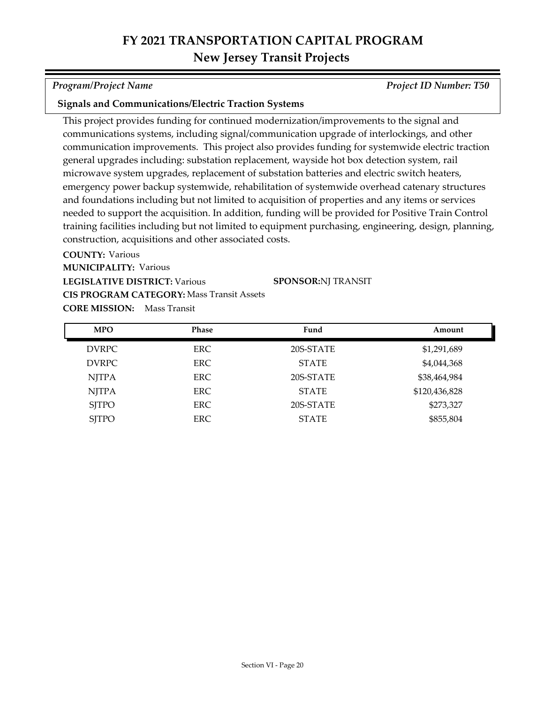*Program/Project Name Project ID Number: T50*

### **Signals and Communications/Electric Traction Systems**

This project provides funding for continued modernization/improvements to the signal and communications systems, including signal/communication upgrade of interlockings, and other communication improvements. This project also provides funding for systemwide electric traction general upgrades including: substation replacement, wayside hot box detection system, rail microwave system upgrades, replacement of substation batteries and electric switch heaters, emergency power backup systemwide, rehabilitation of systemwide overhead catenary structures and foundations including but not limited to acquisition of properties and any items or services needed to support the acquisition. In addition, funding will be provided for Positive Train Control training facilities including but not limited to equipment purchasing, engineering, design, planning, construction, acquisitions and other associated costs.

**COUNTY:** Various **LEGISLATIVE DISTRICT:** Various **MUNICIPALITY: Various CORE MISSION:** Mass Transit **CIS PROGRAM CATEGORY:** Mass Transit Assets**SPONSOR:** NJ TRANSIT

DVRPC ERC 20S-STATE \$1,291,689 DVRPC ERC ERC STATE \$4,044,368 NJTPA ERC 20S-STATE \$38,464,984 NJTPA ERC ERC STATE \$120,436,828 SITPO ERC 20S-STATE \$273,327 SJTPO ERC ERC STATE \$855,804 **MPO Phase Fund Amount**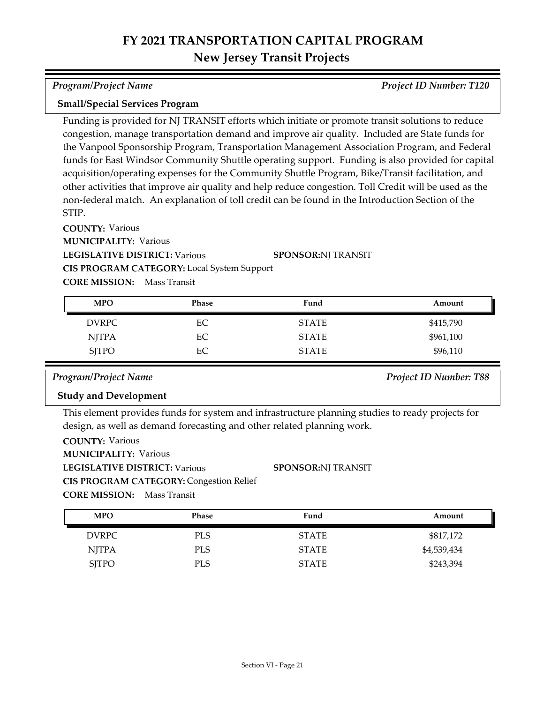*Program/Project Name Project ID Number: T120*

### **Small/Special Services Program**

Funding is provided for NJ TRANSIT efforts which initiate or promote transit solutions to reduce congestion, manage transportation demand and improve air quality. Included are State funds for the Vanpool Sponsorship Program, Transportation Management Association Program, and Federal funds for East Windsor Community Shuttle operating support. Funding is also provided for capital acquisition/operating expenses for the Community Shuttle Program, Bike/Transit facilitation, and other activities that improve air quality and help reduce congestion. Toll Credit will be used as the non-federal match. An explanation of toll credit can be found in the Introduction Section of the STIP.

**COUNTY:** Various

**MUNICIPALITY: Various** 

**LEGISLATIVE DISTRICT:** Various

**SPONSOR:** NJ TRANSIT

**CIS PROGRAM CATEGORY:** Local System Support

**CORE MISSION:** Mass Transit

| <b>MPO</b>   | <b>Phase</b> | Fund         | Amount    |
|--------------|--------------|--------------|-----------|
| <b>DVRPC</b> | EC           | <b>STATE</b> | \$415,790 |
| <b>NJTPA</b> | EC           | <b>STATE</b> | \$961,100 |
| <b>SJTPO</b> | EC           | <b>STATE</b> | \$96,110  |

### *Program/Project Name Project ID Number: T88*

### **Study and Development**

This element provides funds for system and infrastructure planning studies to ready projects for design, as well as demand forecasting and other related planning work.

| <b>COUNTY: Various</b>               |                                                |                           |
|--------------------------------------|------------------------------------------------|---------------------------|
| <b>MUNICIPALITY: Various</b>         |                                                |                           |
| <b>LEGISLATIVE DISTRICT: Various</b> |                                                | <b>SPONSOR:NJ TRANSIT</b> |
|                                      | <b>CIS PROGRAM CATEGORY: Congestion Relief</b> |                           |
| <b>CORE MISSION:</b> Mass Transit    |                                                |                           |

DVRPC PLS PLS STATE \$817,172 NJTPA PLS PLS STATE \$4,539,434 SJTPO PLS PLS STATE \$243,394 **MPO Phase Fund Amount**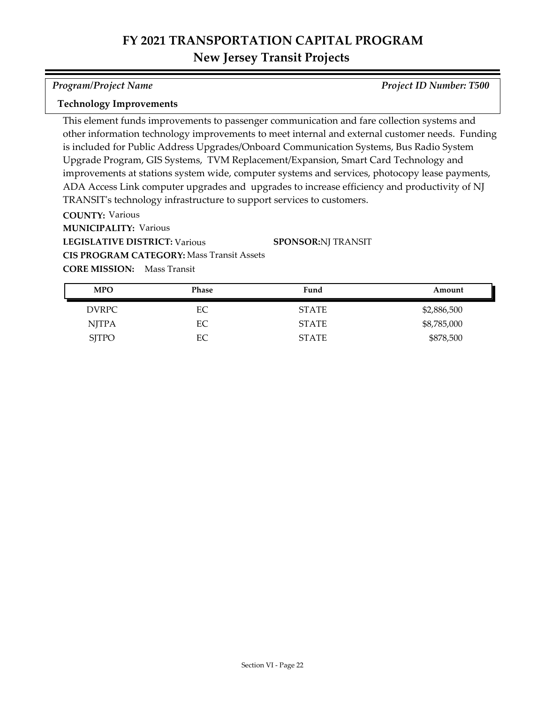*Program/Project Name Project ID Number: T500*

### **Technology Improvements**

This element funds improvements to passenger communication and fare collection systems and other information technology improvements to meet internal and external customer needs. Funding is included for Public Address Upgrades/Onboard Communication Systems, Bus Radio System Upgrade Program, GIS Systems, TVM Replacement/Expansion, Smart Card Technology and improvements at stations system wide, computer systems and services, photocopy lease payments, ADA Access Link computer upgrades and upgrades to increase efficiency and productivity of NJ TRANSIT's technology infrastructure to support services to customers.

**COUNTY:** Various

**MUNICIPALITY: Various** 

**LEGISLATIVE DISTRICT:** Various

**SPONSOR:** NJ TRANSIT

**CORE MISSION:** Mass Transit **CIS PROGRAM CATEGORY:** Mass Transit Assets

| <b>MPO</b>   | <b>Phase</b> | Fund         | Amount      |
|--------------|--------------|--------------|-------------|
| DVRPC        | EС           | <b>STATE</b> | \$2,886,500 |
| NJTPA        | EС           | <b>STATE</b> | \$8,785,000 |
| <b>SJTPO</b> | ЕC           | <b>STATE</b> | \$878,500   |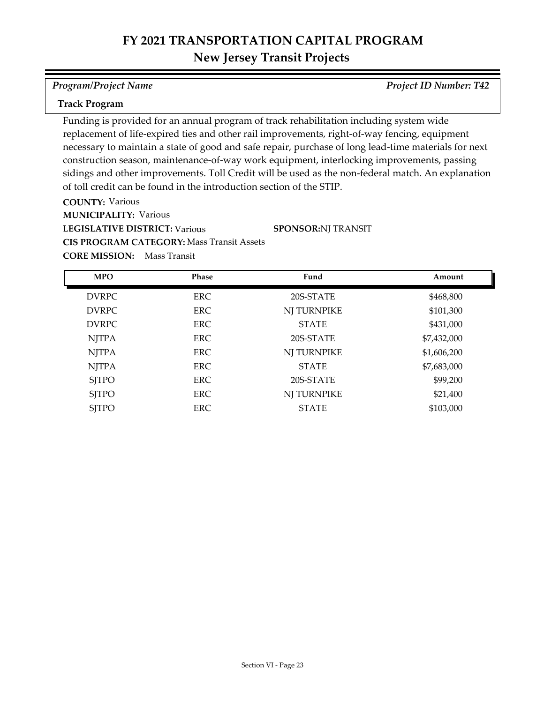*Program/Project Name Project ID Number: T42*

### **Track Program**

Funding is provided for an annual program of track rehabilitation including system wide replacement of life-expired ties and other rail improvements, right-of-way fencing, equipment necessary to maintain a state of good and safe repair, purchase of long lead-time materials for next construction season, maintenance-of-way work equipment, interlocking improvements, passing sidings and other improvements. Toll Credit will be used as the non-federal match. An explanation of toll credit can be found in the introduction section of the STIP.

**COUNTY:** Various **LEGISLATIVE DISTRICT:** Various **MUNICIPALITY: Various CIS PROGRAM CATEGORY:** Mass Transit Assets

**SPONSOR:** NJ TRANSIT

| <b>MPO</b>   | Phase      | Fund         | Amount      |
|--------------|------------|--------------|-------------|
| <b>DVRPC</b> | <b>ERC</b> | 20S-STATE    | \$468,800   |
| <b>DVRPC</b> | <b>ERC</b> | NJ TURNPIKE  | \$101,300   |
| <b>DVRPC</b> | ERC.       | <b>STATE</b> | \$431,000   |
| <b>NJTPA</b> | <b>ERC</b> | 20S-STATE    | \$7,432,000 |
| <b>NJTPA</b> | ERC.       | NJ TURNPIKE  | \$1,606,200 |
| <b>NJTPA</b> | ERC        | <b>STATE</b> | \$7,683,000 |
| <b>SJTPO</b> | ERC        | 20S-STATE    | \$99,200    |
| <b>SJTPO</b> | <b>ERC</b> | NJ TURNPIKE  | \$21,400    |
| <b>SJTPO</b> | <b>ERC</b> | <b>STATE</b> | \$103,000   |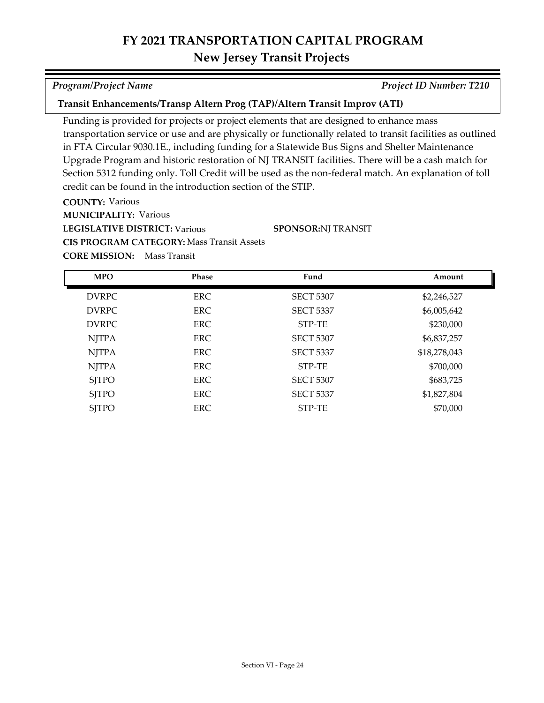### **Transit Enhancements/Transp Altern Prog (TAP)/Altern Transit Improv (ATI)**

Funding is provided for projects or project elements that are designed to enhance mass transportation service or use and are physically or functionally related to transit facilities as outlined in FTA Circular 9030.1E., including funding for a Statewide Bus Signs and Shelter Maintenance Upgrade Program and historic restoration of NJ TRANSIT facilities. There will be a cash match for Section 5312 funding only. Toll Credit will be used as the non-federal match. An explanation of toll credit can be found in the introduction section of the STIP.

**SPONSOR:** NJ TRANSIT

**COUNTY:** Various

**MUNICIPALITY: Various** 

**LEGISLATIVE DISTRICT:** Various

**CIS PROGRAM CATEGORY:** Mass Transit Assets

**CORE MISSION:** Mass Transit

| <b>MPO</b>   | <b>Phase</b> | Fund             | Amount       |
|--------------|--------------|------------------|--------------|
| <b>DVRPC</b> | <b>ERC</b>   | <b>SECT 5307</b> | \$2,246,527  |
| <b>DVRPC</b> | <b>ERC</b>   | <b>SECT 5337</b> | \$6,005,642  |
| <b>DVRPC</b> | <b>ERC</b>   | STP-TE           | \$230,000    |
| <b>NJTPA</b> | <b>ERC</b>   | <b>SECT 5307</b> | \$6,837,257  |
| <b>NJTPA</b> | <b>ERC</b>   | <b>SECT 5337</b> | \$18,278,043 |
| <b>NJTPA</b> | ERC.         | STP-TE           | \$700,000    |
| <b>SITPO</b> | <b>ERC</b>   | <b>SECT 5307</b> | \$683,725    |
| <b>SITPO</b> | ERC.         | <b>SECT 5337</b> | \$1,827,804  |
| <b>SJTPO</b> | ERC          | STP-TE           | \$70,000     |

*Program/Project Name Project ID Number: T210*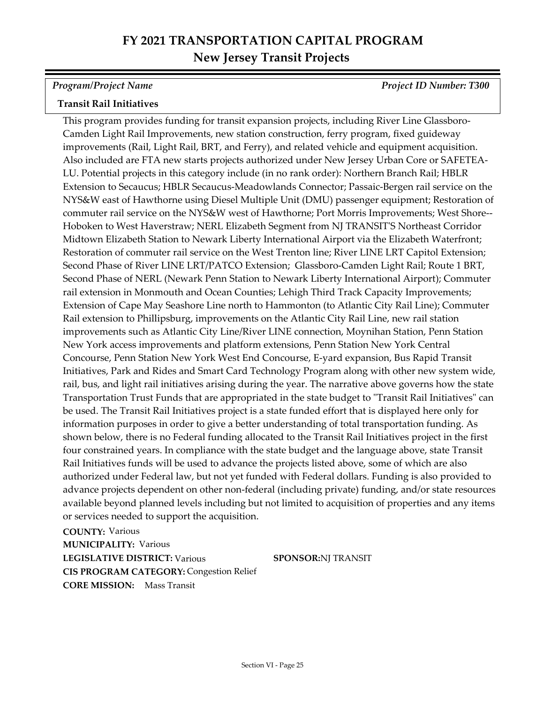*Program/Project Name Project ID Number: T300*

# **Transit Rail Initiatives**

This program provides funding for transit expansion projects, including River Line Glassboro-Camden Light Rail Improvements, new station construction, ferry program, fixed guideway improvements (Rail, Light Rail, BRT, and Ferry), and related vehicle and equipment acquisition. Also included are FTA new starts projects authorized under New Jersey Urban Core or SAFETEA-LU. Potential projects in this category include (in no rank order): Northern Branch Rail; HBLR Extension to Secaucus; HBLR Secaucus-Meadowlands Connector; Passaic-Bergen rail service on the NYS&W east of Hawthorne using Diesel Multiple Unit (DMU) passenger equipment; Restoration of commuter rail service on the NYS&W west of Hawthorne; Port Morris Improvements; West Shore-- Hoboken to West Haverstraw; NERL Elizabeth Segment from NJ TRANSIT'S Northeast Corridor Midtown Elizabeth Station to Newark Liberty International Airport via the Elizabeth Waterfront; Restoration of commuter rail service on the West Trenton line; River LINE LRT Capitol Extension; Second Phase of River LINE LRT/PATCO Extension; Glassboro-Camden Light Rail; Route 1 BRT, Second Phase of NERL (Newark Penn Station to Newark Liberty International Airport); Commuter rail extension in Monmouth and Ocean Counties; Lehigh Third Track Capacity Improvements; Extension of Cape May Seashore Line north to Hammonton (to Atlantic City Rail Line); Commuter Rail extension to Phillipsburg, improvements on the Atlantic City Rail Line, new rail station improvements such as Atlantic City Line/River LINE connection, Moynihan Station, Penn Station New York access improvements and platform extensions, Penn Station New York Central Concourse, Penn Station New York West End Concourse, E-yard expansion, Bus Rapid Transit Initiatives, Park and Rides and Smart Card Technology Program along with other new system wide, rail, bus, and light rail initiatives arising during the year. The narrative above governs how the state Transportation Trust Funds that are appropriated in the state budget to "Transit Rail Initiatives" can be used. The Transit Rail Initiatives project is a state funded effort that is displayed here only for information purposes in order to give a better understanding of total transportation funding. As shown below, there is no Federal funding allocated to the Transit Rail Initiatives project in the first four constrained years. In compliance with the state budget and the language above, state Transit Rail Initiatives funds will be used to advance the projects listed above, some of which are also authorized under Federal law, but not yet funded with Federal dollars. Funding is also provided to advance projects dependent on other non-federal (including private) funding, and/or state resources available beyond planned levels including but not limited to acquisition of properties and any items or services needed to support the acquisition.

**COUNTY:** Various **LEGISLATIVE DISTRICT:** Various **MUNICIPALITY: Various CORE MISSION:** Mass Transit **CIS PROGRAM CATEGORY:** Congestion Relief

**SPONSOR:**NJ TRANSIT